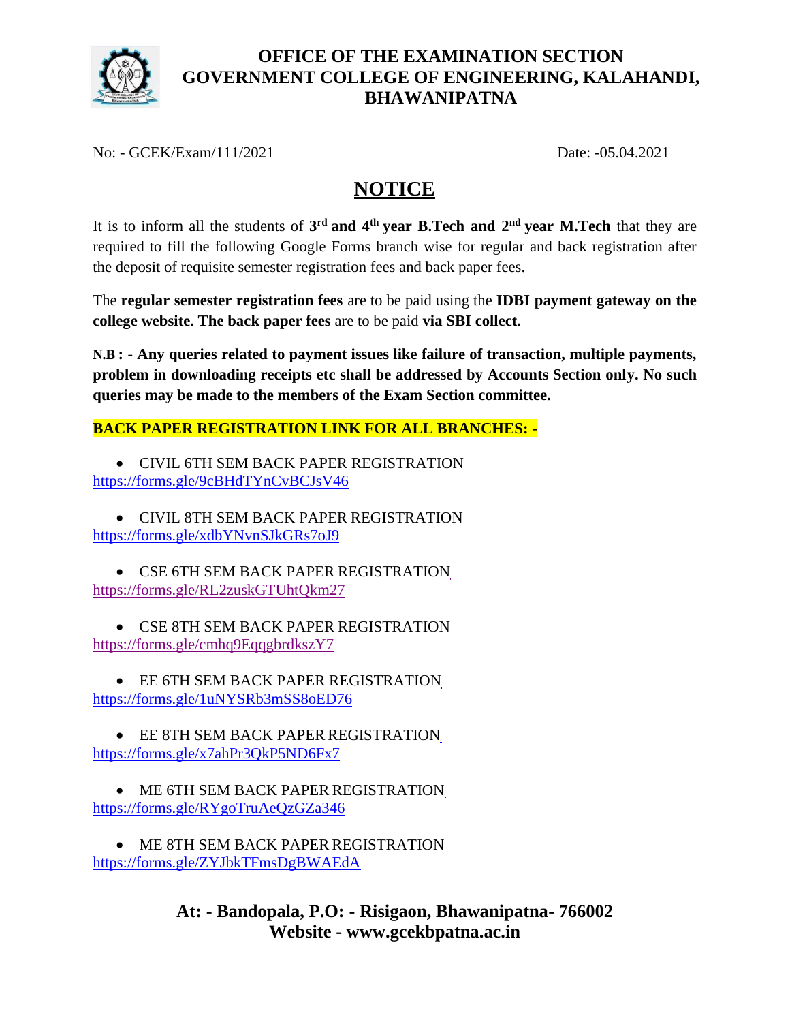

#### **OFFICE OF THE EXAMINATION SECTION GOVERNMENT COLLEGE OF ENGINEERING, KALAHANDI, BHAWANIPATNA**

No: - GCEK/Exam/111/2021 Date: -05.04.2021

# **NOTICE**

It is to inform all the students of **3 rd and 4th year B.Tech and 2nd year M.Tech** that they are required to fill the following Google Forms branch wise for regular and back registration after the deposit of requisite semester registration fees and back paper fees.

The **regular semester registration fees** are to be paid using the **IDBI payment gateway on the college website. The back paper fees** are to be paid **via SBI collect.**

**N.B : - Any queries related to payment issues like failure of transaction, multiple payments, problem in downloading receipts etc shall be addressed by Accounts Section only. No such queries may be made to the members of the Exam Section committee.**

# **BACK PAPER REGISTRATION LINK FOR ALL BRANCHES: -**

• CIVIL 6TH SEM BACK PAPER REGISTRATION <https://forms.gle/9cBHdTYnCvBCJsV46>

• CIVIL 8TH SEM BACK PAPER REGISTRATION <https://forms.gle/xdbYNvnSJkGRs7oJ9>

• CSE 6TH SEM BACK PAPER REGISTRATION <https://forms.gle/RL2zuskGTUhtQkm27>

• CSE 8TH SEM BACK PAPER REGISTRATION <https://forms.gle/cmhq9EqqgbrdkszY7>

• EE 6TH SEM BACK PAPER REGISTRATION <https://forms.gle/1uNYSRb3mSS8oED76>

• EE 8TH SEM BACK PAPER REGISTRATION <https://forms.gle/x7ahPr3QkP5ND6Fx7>

• ME 6TH SEM BACK PAPER REGISTRATION <https://forms.gle/RYgoTruAeQzGZa346>

• ME 8TH SEM BACK PAPER REGISTRATION <https://forms.gle/ZYJbkTFmsDgBWAEdA>

> **At: - Bandopala, P.O: - Risigaon, Bhawanipatna- 766002 Website - [www.gcekbpatna.ac.in](http://www.gcekbpatna.ac.in/)**